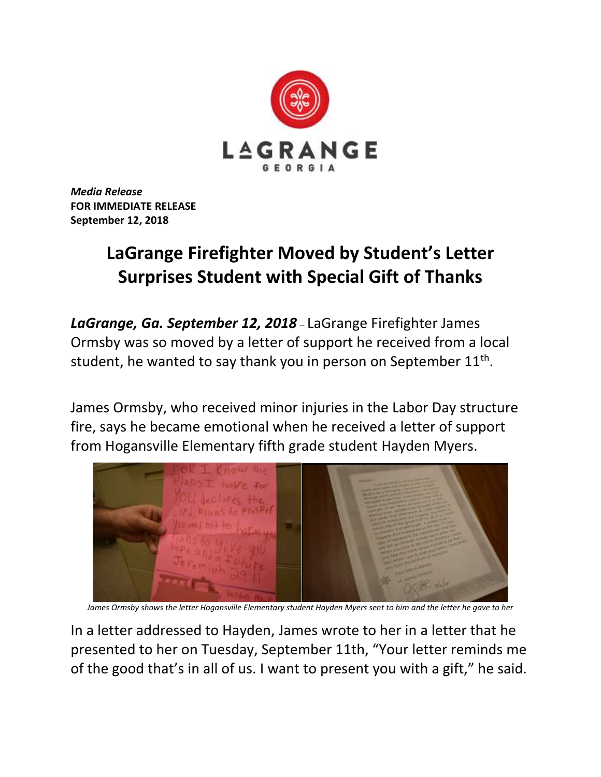

*Media Release* **FOR IMMEDIATE RELEASE September 12, 2018**

## **LaGrange Firefighter Moved by Student's Letter Surprises Student with Special Gift of Thanks**

*LaGrange, Ga. September 12, 2018* – LaGrange Firefighter James Ormsby was so moved by a letter of support he received from a local student, he wanted to say thank you in person on September  $11^{\text{th}}$ .

James Ormsby, who received minor injuries in the Labor Day structure fire, says he became emotional when he received a letter of support from Hogansville Elementary fifth grade student Hayden Myers.



*James Ormsby shows the letter Hogansville Elementary student Hayden Myers sent to him and the letter he gave to her*

In a letter addressed to Hayden, James wrote to her in a letter that he presented to her on Tuesday, September 11th, "Your letter reminds me of the good that's in all of us. I want to present you with a gift," he said.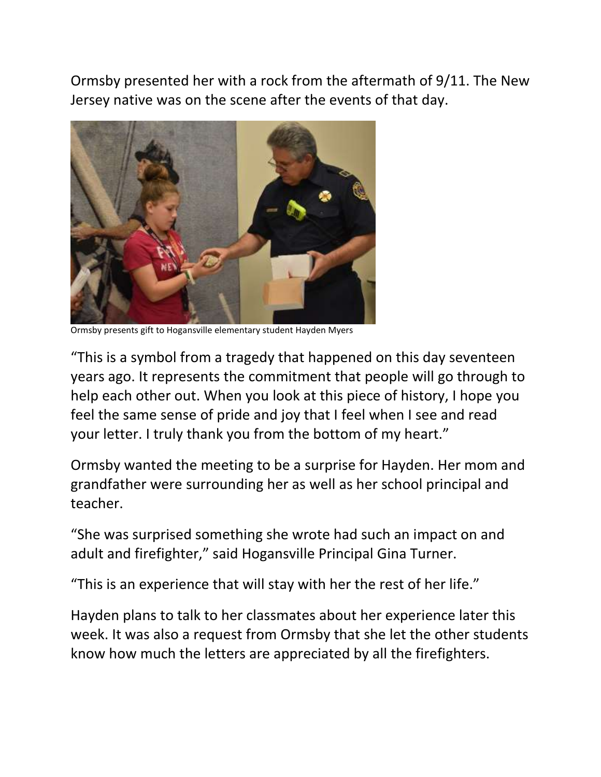Ormsby presented her with a rock from the aftermath of 9/11. The New Jersey native was on the scene after the events of that day.



Ormsby presents gift to Hogansville elementary student Hayden Myers

"This is a symbol from a tragedy that happened on this day seventeen years ago. It represents the commitment that people will go through to help each other out. When you look at this piece of history, I hope you feel the same sense of pride and joy that I feel when I see and read your letter. I truly thank you from the bottom of my heart."

Ormsby wanted the meeting to be a surprise for Hayden. Her mom and grandfather were surrounding her as well as her school principal and teacher.

"She was surprised something she wrote had such an impact on and adult and firefighter," said Hogansville Principal Gina Turner.

"This is an experience that will stay with her the rest of her life."

Hayden plans to talk to her classmates about her experience later this week. It was also a request from Ormsby that she let the other students know how much the letters are appreciated by all the firefighters.